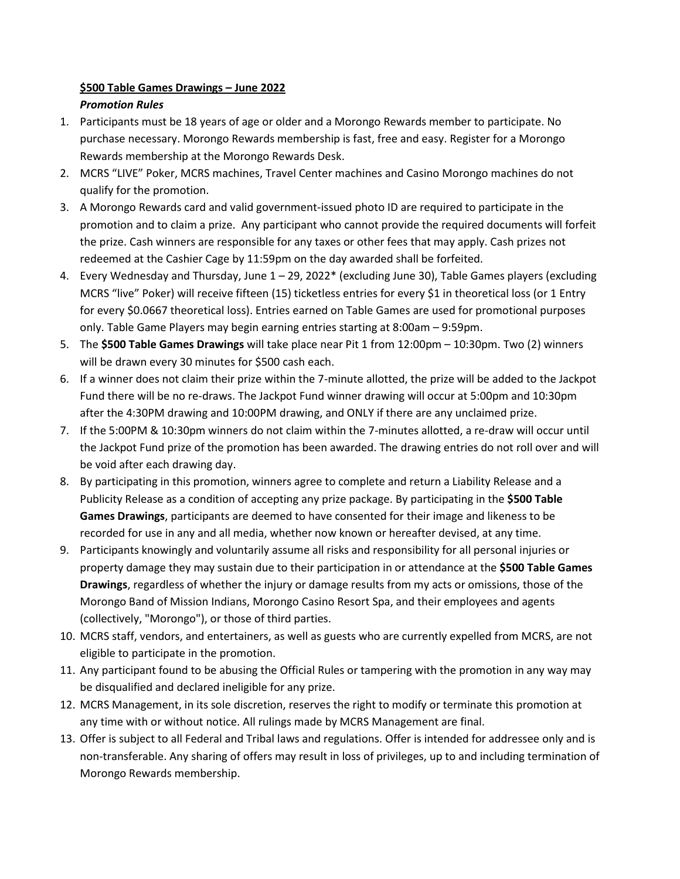## **\$500 Table Games Drawings – June 2022** *Promotion Rules*

- 1. Participants must be 18 years of age or older and a Morongo Rewards member to participate. No purchase necessary. Morongo Rewards membership is fast, free and easy. Register for a Morongo Rewards membership at the Morongo Rewards Desk.
- 2. MCRS "LIVE" Poker, MCRS machines, Travel Center machines and Casino Morongo machines do not qualify for the promotion.
- 3. A Morongo Rewards card and valid government-issued photo ID are required to participate in the promotion and to claim a prize. Any participant who cannot provide the required documents will forfeit the prize. Cash winners are responsible for any taxes or other fees that may apply. Cash prizes not redeemed at the Cashier Cage by 11:59pm on the day awarded shall be forfeited.
- 4. Every Wednesday and Thursday, June 1 29, 2022\* (excluding June 30), Table Games players (excluding MCRS "live" Poker) will receive fifteen (15) ticketless entries for every \$1 in theoretical loss (or 1 Entry for every \$0.0667 theoretical loss). Entries earned on Table Games are used for promotional purposes only. Table Game Players may begin earning entries starting at 8:00am – 9:59pm.
- 5. The **\$500 Table Games Drawings** will take place near Pit 1 from 12:00pm 10:30pm. Two (2) winners will be drawn every 30 minutes for \$500 cash each.
- 6. If a winner does not claim their prize within the 7-minute allotted, the prize will be added to the Jackpot Fund there will be no re-draws. The Jackpot Fund winner drawing will occur at 5:00pm and 10:30pm after the 4:30PM drawing and 10:00PM drawing, and ONLY if there are any unclaimed prize.
- 7. If the 5:00PM & 10:30pm winners do not claim within the 7-minutes allotted, a re-draw will occur until the Jackpot Fund prize of the promotion has been awarded. The drawing entries do not roll over and will be void after each drawing day.
- 8. By participating in this promotion, winners agree to complete and return a Liability Release and a Publicity Release as a condition of accepting any prize package. By participating in the **\$500 Table Games Drawings**, participants are deemed to have consented for their image and likeness to be recorded for use in any and all media, whether now known or hereafter devised, at any time.
- 9. Participants knowingly and voluntarily assume all risks and responsibility for all personal injuries or property damage they may sustain due to their participation in or attendance at the **\$500 Table Games Drawings**, regardless of whether the injury or damage results from my acts or omissions, those of the Morongo Band of Mission Indians, Morongo Casino Resort Spa, and their employees and agents (collectively, "Morongo"), or those of third parties.
- 10. MCRS staff, vendors, and entertainers, as well as guests who are currently expelled from MCRS, are not eligible to participate in the promotion.
- 11. Any participant found to be abusing the Official Rules or tampering with the promotion in any way may be disqualified and declared ineligible for any prize.
- 12. MCRS Management, in its sole discretion, reserves the right to modify or terminate this promotion at any time with or without notice. All rulings made by MCRS Management are final.
- 13. Offer is subject to all Federal and Tribal laws and regulations. Offer is intended for addressee only and is non-transferable. Any sharing of offers may result in loss of privileges, up to and including termination of Morongo Rewards membership.